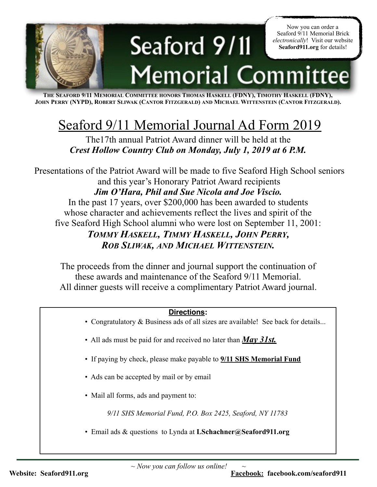

**THE SEAFORD 9/11 MEMORIAL COMMITTEE HONORS THOMAS HASKELL (FDNY), TIMOTHY HASKELL (FDNY), JOHN PERRY (NYPD), ROBERT SLIWAK (CANTOR FITZGERALD) AND MICHAEL WITTENSTEIN (CANTOR FITZGERALD).** 

## Seaford 9/11 Memorial Journal Ad Form 2019

The17th annual Patriot Award dinner will be held at the *Crest Hollow Country Club on Monday, July 1, 2019 at 6 P.M.*

 Presentations of the Patriot Award will be made to five Seaford High School seniors and this year's Honorary Patriot Award recipients *Jim O'Hara, Phil and Sue Nicola and Joe Viscio.*  In the past 17 years, over \$200,000 has been awarded to students whose character and achievements reflect the lives and spirit of the five Seaford High School alumni who were lost on September 11, 2001: *TOMMY HASKELL, TIMMY HASKELL, JOHN PERRY, ROB SLIWAK, AND MICHAEL WITTENSTEIN.*

The proceeds from the dinner and journal support the continuation of these awards and maintenance of the Seaford 9/11 Memorial. All dinner guests will receive a complimentary Patriot Award journal.

## **Directions:**

- Congratulatory & Business ads of all sizes are available! See back for details...
- All ads must be paid for and received no later than *May 31st.*
- If paying by check, please make payable to **9/11 SHS Memorial Fund**
- Ads can be accepted by mail or by email
- Mail all forms, ads and payment to:

*9/11 SHS Memorial Fund, P.O. Box 2425, Seaford, NY 11783*

• Email ads & questions to Lynda at **LSchachner@Seaford911.org**

*~ Now you can follow us online! ~* 

**Website:** Seaford911.org **Facebook: Facebook:** facebook.com/seaford911